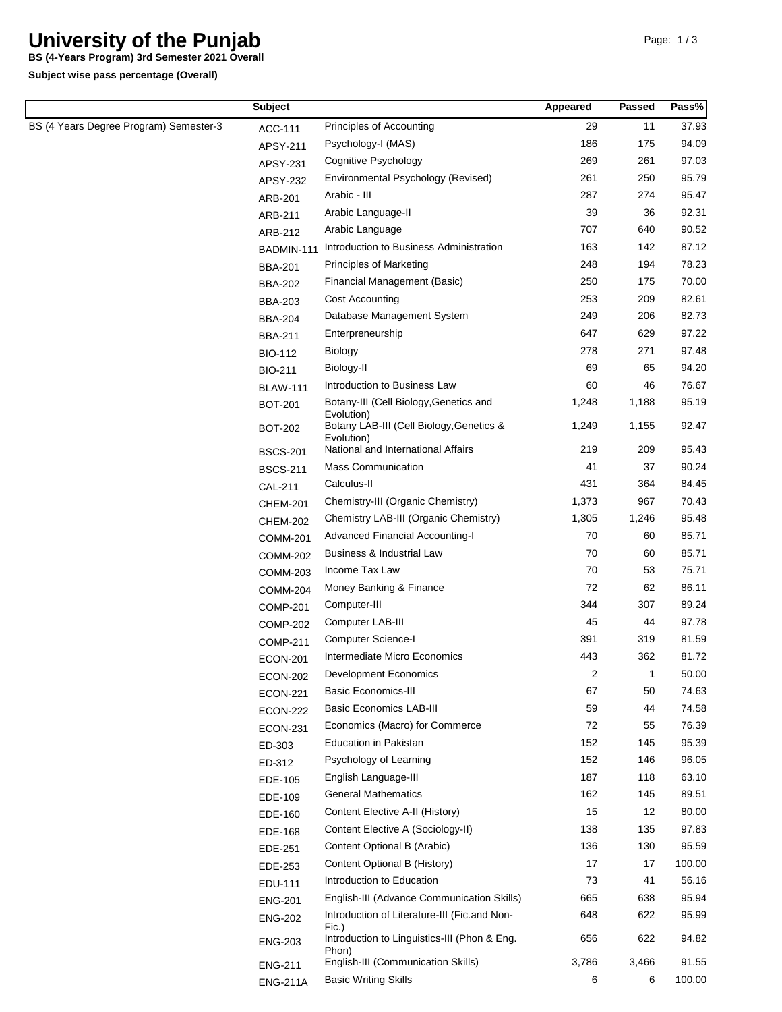## **University of the Punjab**

**BS (4-Years Program) 3rd Semester 2021 Overall**

**Subject wise pass percentage (Overall)**

| <b>Subject</b>  |                                                        | Appeared      | Passed       | Pass%  |
|-----------------|--------------------------------------------------------|---------------|--------------|--------|
| <b>ACC-111</b>  | Principles of Accounting                               | 29            | 11           | 37.93  |
| APSY-211        | Psychology-I (MAS)                                     | 186           | 175          | 94.09  |
| APSY-231        | Cognitive Psychology                                   | 269           | 261          | 97.03  |
| APSY-232        | Environmental Psychology (Revised)                     | 261           | 250          | 95.79  |
| ARB-201         | Arabic - III                                           | 287           | 274          | 95.47  |
| ARB-211         | Arabic Language-II                                     | 39            | 36           | 92.31  |
| ARB-212         | Arabic Language                                        | 707           | 640          | 90.52  |
| BADMIN-111      | Introduction to Business Administration                | 163           | 142          | 87.12  |
| <b>BBA-201</b>  | <b>Principles of Marketing</b>                         | 248           | 194          | 78.23  |
| <b>BBA-202</b>  | Financial Management (Basic)                           | 250           | 175          | 70.00  |
| <b>BBA-203</b>  | Cost Accounting                                        | 253           | 209          | 82.61  |
| <b>BBA-204</b>  | Database Management System                             | 249           | 206          | 82.73  |
| <b>BBA-211</b>  | Enterpreneurship                                       | 647           | 629          | 97.22  |
| <b>BIO-112</b>  | <b>Biology</b>                                         | 278           | 271          | 97.48  |
| <b>BIO-211</b>  | Biology-II                                             | 69            | 65           | 94.20  |
| <b>BLAW-111</b> | Introduction to Business Law                           | 60            | 46           | 76.67  |
| <b>BOT-201</b>  | Botany-III (Cell Biology, Genetics and<br>Evolution)   | 1,248         | 1,188        | 95.19  |
| <b>BOT-202</b>  | Botany LAB-III (Cell Biology, Genetics &<br>Evolution) | 1,249         | 1,155        | 92.47  |
| <b>BSCS-201</b> | National and International Affairs                     | 219           | 209          | 95.43  |
| <b>BSCS-211</b> | <b>Mass Communication</b>                              | 41            | 37           | 90.24  |
| <b>CAL-211</b>  | Calculus-II                                            | 431           | 364          | 84.45  |
| CHEM-201        | Chemistry-III (Organic Chemistry)                      | 1,373         | 967          | 70.43  |
| <b>CHEM-202</b> | Chemistry LAB-III (Organic Chemistry)                  | 1,305         | 1,246        | 95.48  |
| <b>COMM-201</b> | <b>Advanced Financial Accounting-I</b>                 | 70            | 60           | 85.71  |
| <b>COMM-202</b> | <b>Business &amp; Industrial Law</b>                   | 70            | 60           | 85.71  |
| <b>COMM-203</b> | Income Tax Law                                         | 70            | 53           | 75.71  |
| <b>COMM-204</b> | Money Banking & Finance                                | 72            | 62           | 86.11  |
| <b>COMP-201</b> | Computer-III                                           | 344           | 307          | 89.24  |
| <b>COMP-202</b> | Computer LAB-III                                       | 45            | 44           | 97.78  |
| <b>COMP-211</b> | <b>Computer Science-I</b>                              | 391           | 319          | 81.59  |
| <b>ECON-201</b> | Intermediate Micro Economics                           | 443           | 362          | 81.72  |
| <b>ECON-202</b> | Development Economics                                  | $\mathcal{P}$ | $\mathbf{1}$ | 50.00  |
| <b>ECON-221</b> | <b>Basic Economics-III</b>                             | 67            | 50           | 74.63  |
| <b>ECON-222</b> | <b>Basic Economics LAB-III</b>                         | 59            | 44           | 74.58  |
| <b>ECON-231</b> | Economics (Macro) for Commerce                         | 72            | 55           | 76.39  |
| ED-303          | <b>Education in Pakistan</b>                           | 152           | 145          | 95.39  |
| ED-312          | Psychology of Learning                                 | 152           | 146          | 96.05  |
| EDE-105         | English Language-III                                   | 187           | 118          | 63.10  |
| EDE-109         | <b>General Mathematics</b>                             | 162           | 145          | 89.51  |
| EDE-160         | Content Elective A-II (History)                        | 15            | 12           | 80.00  |
| EDE-168         | Content Elective A (Sociology-II)                      | 138           | 135          | 97.83  |
| EDE-251         | Content Optional B (Arabic)                            | 136           | 130          | 95.59  |
| EDE-253         | Content Optional B (History)                           | 17            | 17           | 100.00 |
| EDU-111         | Introduction to Education                              | 73            | 41           | 56.16  |
| <b>ENG-201</b>  | English-III (Advance Communication Skills)             | 665           | 638          | 95.94  |
| <b>ENG-202</b>  | Introduction of Literature-III (Fic.and Non-<br>Fic.)  | 648           | 622          | 95.99  |
| <b>ENG-203</b>  | Introduction to Linguistics-III (Phon & Eng.<br>Phon)  | 656           | 622          | 94.82  |
| <b>ENG-211</b>  | English-III (Communication Skills)                     | 3,786         | 3,466        | 91.55  |
| <b>ENG-211A</b> | <b>Basic Writing Skills</b>                            | 6             | 6            | 100.00 |
|                 |                                                        |               |              |        |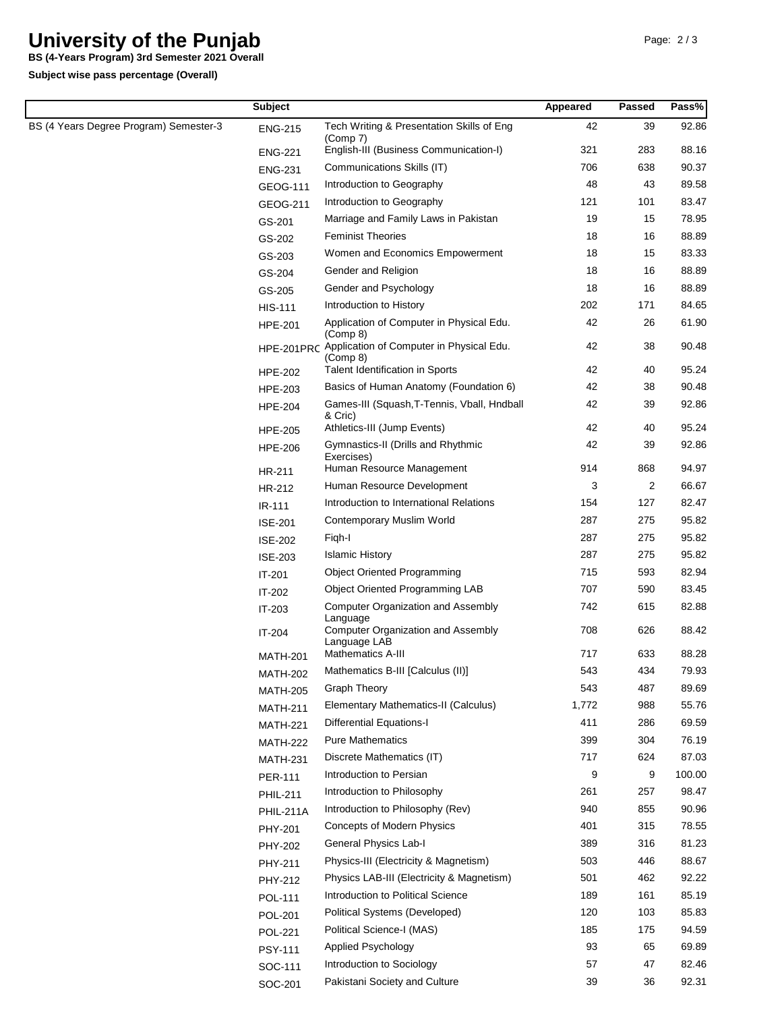## **University of the Punjab**

**Subject wise pass percentage (Overall) BS (4-Years Program) 3rd Semester 2021 Overall**

|                                        | <b>Subject</b>   |                                                                 | Appeared | <b>Passed</b>  | Pass%  |
|----------------------------------------|------------------|-----------------------------------------------------------------|----------|----------------|--------|
| BS (4 Years Degree Program) Semester-3 | <b>ENG-215</b>   | Tech Writing & Presentation Skills of Eng                       | 42       | 39             | 92.86  |
|                                        | <b>ENG-221</b>   | (Comp 7)<br>English-III (Business Communication-I)              | 321      | 283            | 88.16  |
|                                        | <b>ENG-231</b>   | Communications Skills (IT)                                      | 706      | 638            | 90.37  |
|                                        | GEOG-111         | Introduction to Geography                                       | 48       | 43             | 89.58  |
|                                        | GEOG-211         | Introduction to Geography                                       | 121      | 101            | 83.47  |
|                                        | GS-201           | Marriage and Family Laws in Pakistan                            | 19       | 15             | 78.95  |
|                                        | GS-202           | <b>Feminist Theories</b>                                        | 18       | 16             | 88.89  |
|                                        | GS-203           | Women and Economics Empowerment                                 | 18       | 15             | 83.33  |
|                                        | GS-204           | Gender and Religion                                             | 18       | 16             | 88.89  |
|                                        | GS-205           | Gender and Psychology                                           | 18       | 16             | 88.89  |
|                                        | <b>HIS-111</b>   | Introduction to History                                         | 202      | 171            | 84.65  |
|                                        | <b>HPE-201</b>   | Application of Computer in Physical Edu.<br>(Comp 8)            | 42       | 26             | 61.90  |
|                                        |                  | HPE-201PRC Application of Computer in Physical Edu.<br>(Comp 8) | 42       | 38             | 90.48  |
|                                        | <b>HPE-202</b>   | Talent Identification in Sports                                 | 42       | 40             | 95.24  |
|                                        | HPE-203          | Basics of Human Anatomy (Foundation 6)                          | 42       | 38             | 90.48  |
|                                        | <b>HPE-204</b>   | Games-III (Squash, T-Tennis, Vball, Hndball<br>& Cric)          | 42       | 39             | 92.86  |
|                                        | <b>HPE-205</b>   | Athletics-III (Jump Events)                                     | 42       | 40             | 95.24  |
|                                        | <b>HPE-206</b>   | Gymnastics-II (Drills and Rhythmic<br>Exercises)                | 42       | 39             | 92.86  |
|                                        | HR-211           | Human Resource Management                                       | 914      | 868            | 94.97  |
|                                        | HR-212           | Human Resource Development                                      | 3        | $\overline{c}$ | 66.67  |
|                                        | IR-111           | Introduction to International Relations                         | 154      | 127            | 82.47  |
|                                        | <b>ISE-201</b>   | Contemporary Muslim World                                       | 287      | 275            | 95.82  |
|                                        | <b>ISE-202</b>   | Figh-I                                                          | 287      | 275            | 95.82  |
|                                        | <b>ISE-203</b>   | <b>Islamic History</b>                                          | 287      | 275            | 95.82  |
|                                        | IT-201           | <b>Object Oriented Programming</b>                              | 715      | 593            | 82.94  |
|                                        | IT-202           | Object Oriented Programming LAB                                 | 707      | 590            | 83.45  |
|                                        | IT-203           | <b>Computer Organization and Assembly</b><br>Language           | 742      | 615            | 82.88  |
|                                        | IT-204           | <b>Computer Organization and Assembly</b><br>Language LAB       | 708      | 626            | 88.42  |
|                                        | <b>MATH-201</b>  | Mathematics A-III                                               | 717      | 633            | 88.28  |
|                                        | MATH-202         | Mathematics B-III [Calculus (II)]                               | 543      | 434            | 79.93  |
|                                        | MATH-205         | <b>Graph Theory</b>                                             | 543      | 487            | 89.69  |
|                                        | <b>MATH-211</b>  | Elementary Mathematics-II (Calculus)                            | 1,772    | 988            | 55.76  |
|                                        | <b>MATH-221</b>  | <b>Differential Equations-I</b>                                 | 411      | 286            | 69.59  |
|                                        | <b>MATH-222</b>  | <b>Pure Mathematics</b>                                         | 399      | 304            | 76.19  |
|                                        | <b>MATH-231</b>  | Discrete Mathematics (IT)                                       | 717      | 624            | 87.03  |
|                                        | PER-111          | Introduction to Persian                                         | 9        | 9              | 100.00 |
|                                        | <b>PHIL-211</b>  | Introduction to Philosophy                                      | 261      | 257            | 98.47  |
|                                        | <b>PHIL-211A</b> | Introduction to Philosophy (Rev)                                | 940      | 855            | 90.96  |
|                                        | PHY-201          | Concepts of Modern Physics                                      | 401      | 315            | 78.55  |
|                                        | <b>PHY-202</b>   | General Physics Lab-I                                           | 389      | 316            | 81.23  |
|                                        | PHY-211          | Physics-III (Electricity & Magnetism)                           | 503      | 446            | 88.67  |
|                                        | PHY-212          | Physics LAB-III (Electricity & Magnetism)                       | 501      | 462            | 92.22  |
|                                        | POL-111          | Introduction to Political Science                               | 189      | 161            | 85.19  |
|                                        | <b>POL-201</b>   | Political Systems (Developed)                                   | 120      | 103            | 85.83  |
|                                        | <b>POL-221</b>   | Political Science-I (MAS)                                       | 185      | 175            | 94.59  |
|                                        | <b>PSY-111</b>   | Applied Psychology                                              | 93       | 65             | 69.89  |
|                                        | SOC-111          | Introduction to Sociology                                       | 57       | 47             | 82.46  |
|                                        | SOC-201          | Pakistani Society and Culture                                   | 39       | 36             | 92.31  |